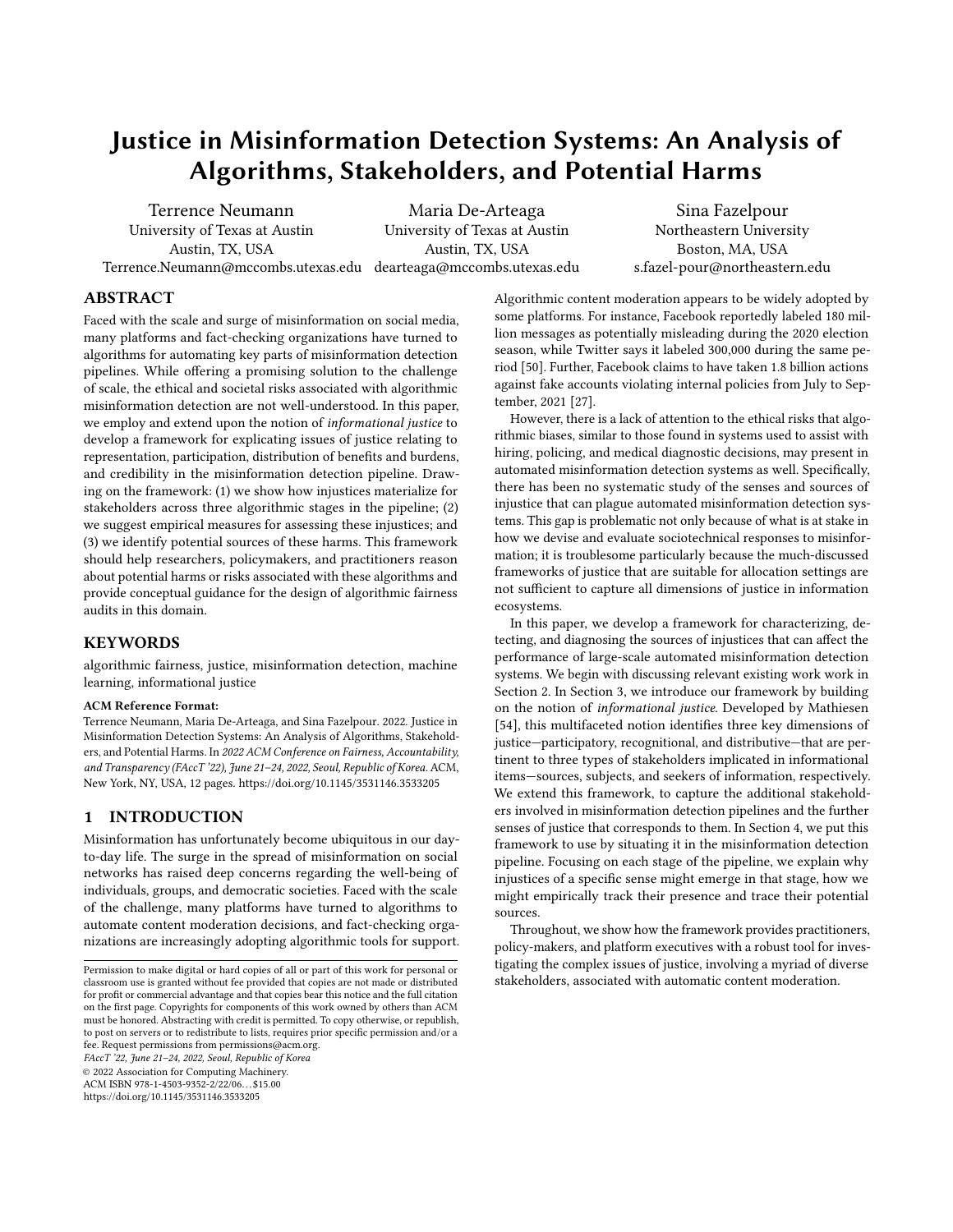# Justice in Misinformation Detection Systems: An Analysis of Algorithms, Stakeholders, and Potential Harms

Terrence Neumann University of Texas at Austin Austin, TX, USA

Terrence.Neumann@mccombs.utexas.edu dearteaga@mccombs.utexas.edu Maria De-Arteaga University of Texas at Austin Austin, TX, USA

[Sina Fazelpour](https://orcid.org/0000-0003-2297-3308) Northeastern University Boston, MA, USA s.fazel-pour@northeastern.edu

## ABSTRACT

Faced with the scale and surge of misinformation on social media, many platforms and fact-checking organizations have turned to algorithms for automating key parts of misinformation detection pipelines. While offering a promising solution to the challenge of scale, the ethical and societal risks associated with algorithmic misinformation detection are not well-understood. In this paper, we employ and extend upon the notion of informational justice to develop a framework for explicating issues of justice relating to representation, participation, distribution of benefits and burdens, and credibility in the misinformation detection pipeline. Drawing on the framework: (1) we show how injustices materialize for stakeholders across three algorithmic stages in the pipeline; (2) we suggest empirical measures for assessing these injustices; and (3) we identify potential sources of these harms. This framework should help researchers, policymakers, and practitioners reason about potential harms or risks associated with these algorithms and provide conceptual guidance for the design of algorithmic fairness audits in this domain.

## **KEYWORDS**

algorithmic fairness, justice, misinformation detection, machine learning, informational justice

#### ACM Reference Format:

Terrence Neumann, Maria De-Arteaga, and Sina Fazelpour. 2022. Justice in Misinformation Detection Systems: An Analysis of Algorithms, Stakeholders, and Potential Harms. In 2022 ACM Conference on Fairness, Accountability, and Transparency (FAccT '22), June 21–24, 2022, Seoul, Republic of Korea. ACM, New York, NY, USA, [12](#page-11-0) pages.<https://doi.org/10.1145/3531146.3533205>

## 1 INTRODUCTION

Misinformation has unfortunately become ubiquitous in our dayto-day life. The surge in the spread of misinformation on social networks has raised deep concerns regarding the well-being of individuals, groups, and democratic societies. Faced with the scale of the challenge, many platforms have turned to algorithms to automate content moderation decisions, and fact-checking organizations are increasingly adopting algorithmic tools for support.

FAccT '22, June 21–24, 2022, Seoul, Republic of Korea

© 2022 Association for Computing Machinery.

ACM ISBN 978-1-4503-9352-2/22/06. . . \$15.00 <https://doi.org/10.1145/3531146.3533205>

Algorithmic content moderation appears to be widely adopted by some platforms. For instance, Facebook reportedly labeled 180 million messages as potentially misleading during the 2020 election season, while Twitter says it labeled 300,000 during the same period [\[50\]](#page-10-0). Further, Facebook claims to have taken 1.8 billion actions against fake accounts violating internal policies from July to September, 2021 [\[27\]](#page-10-1).

However, there is a lack of attention to the ethical risks that algorithmic biases, similar to those found in systems used to assist with hiring, policing, and medical diagnostic decisions, may present in automated misinformation detection systems as well. Specifically, there has been no systematic study of the senses and sources of injustice that can plague automated misinformation detection systems. This gap is problematic not only because of what is at stake in how we devise and evaluate sociotechnical responses to misinformation; it is troublesome particularly because the much-discussed frameworks of justice that are suitable for allocation settings are not sufficient to capture all dimensions of justice in information ecosystems.

In this paper, we develop a framework for characterizing, detecting, and diagnosing the sources of injustices that can affect the performance of large-scale automated misinformation detection systems. We begin with discussing relevant existing work work in Section [2.](#page-1-0) In Section [3,](#page-2-0) we introduce our framework by building on the notion of informational justice. Developed by Mathiesen [\[54\]](#page-11-1), this multifaceted notion identifies three key dimensions of justice—participatory, recognitional, and distributive—that are pertinent to three types of stakeholders implicated in informational items—sources, subjects, and seekers of information, respectively. We extend this framework, to capture the additional stakeholders involved in misinformation detection pipelines and the further senses of justice that corresponds to them. In Section [4,](#page-4-0) we put this framework to use by situating it in the misinformation detection pipeline. Focusing on each stage of the pipeline, we explain why injustices of a specific sense might emerge in that stage, how we might empirically track their presence and trace their potential sources.

Throughout, we show how the framework provides practitioners, policy-makers, and platform executives with a robust tool for investigating the complex issues of justice, involving a myriad of diverse stakeholders, associated with automatic content moderation.

Permission to make digital or hard copies of all or part of this work for personal or classroom use is granted without fee provided that copies are not made or distributed for profit or commercial advantage and that copies bear this notice and the full citation on the first page. Copyrights for components of this work owned by others than ACM must be honored. Abstracting with credit is permitted. To copy otherwise, or republish, to post on servers or to redistribute to lists, requires prior specific permission and/or a fee. Request permissions from permissions@acm.org.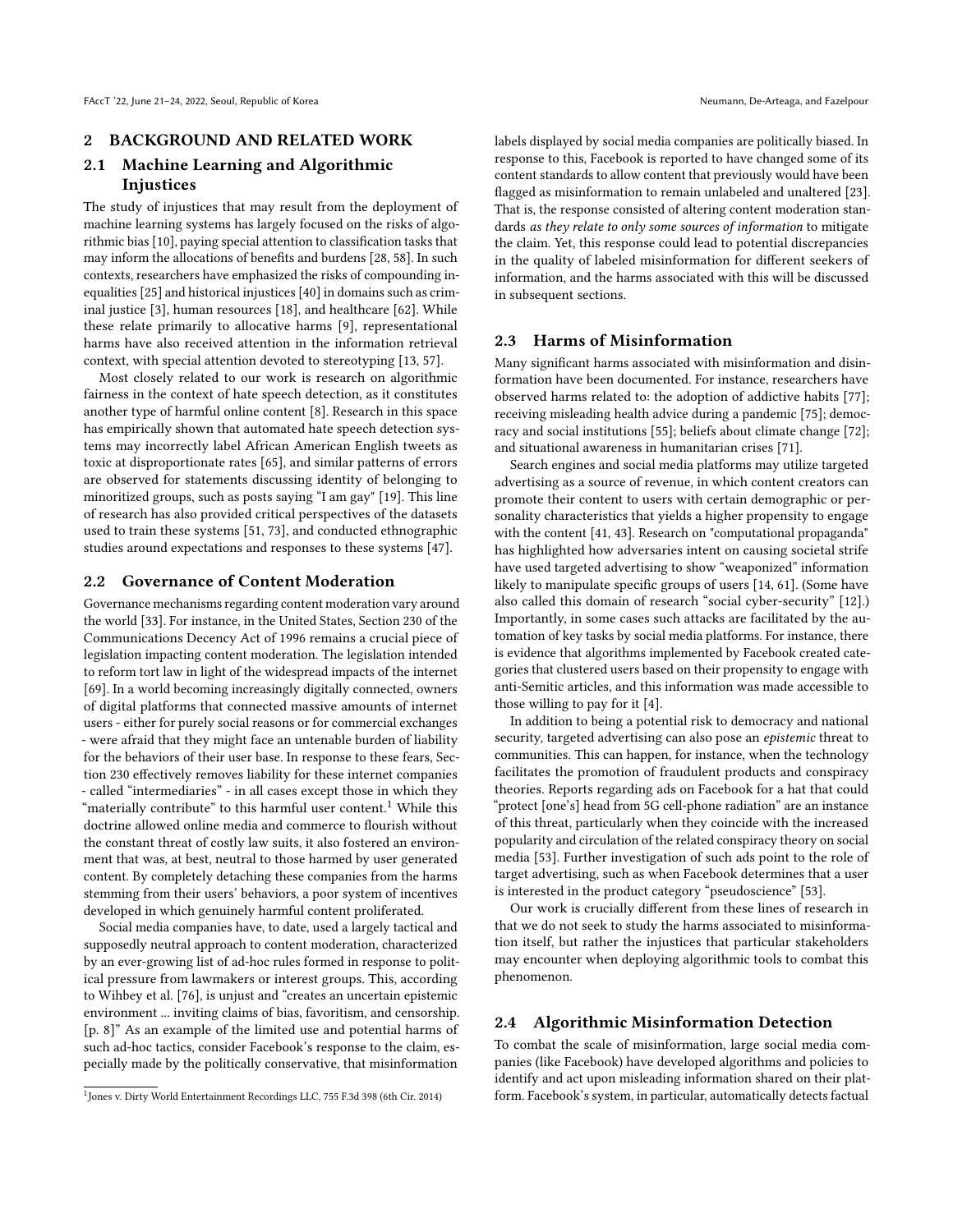## <span id="page-1-0"></span>2 BACKGROUND AND RELATED WORK

# <span id="page-1-2"></span>2.1 Machine Learning and Algorithmic Injustices

The study of injustices that may result from the deployment of machine learning systems has largely focused on the risks of algorithmic bias [\[10\]](#page-10-2), paying special attention to classification tasks that may inform the allocations of benefits and burdens [\[28,](#page-10-3) [58\]](#page-11-2). In such contexts, researchers have emphasized the risks of compounding inequalities [\[25\]](#page-10-4) and historical injustices [\[40\]](#page-10-5) in domains such as criminal justice [\[3\]](#page-10-6), human resources [\[18\]](#page-10-7), and healthcare [\[62\]](#page-11-3). While these relate primarily to allocative harms [\[9\]](#page-10-8), representational harms have also received attention in the information retrieval context, with special attention devoted to stereotyping [\[13,](#page-10-9) [57\]](#page-11-4).

Most closely related to our work is research on algorithmic fairness in the context of hate speech detection, as it constitutes another type of harmful online content [\[8\]](#page-10-10). Research in this space has empirically shown that automated hate speech detection systems may incorrectly label African American English tweets as toxic at disproportionate rates [\[65\]](#page-11-5), and similar patterns of errors are observed for statements discussing identity of belonging to minoritized groups, such as posts saying "I am gay" [\[19\]](#page-10-11). This line of research has also provided critical perspectives of the datasets used to train these systems [\[51,](#page-10-12) [73\]](#page-11-6), and conducted ethnographic studies around expectations and responses to these systems [\[47\]](#page-10-13).

## 2.2 Governance of Content Moderation

Governance mechanisms regarding content moderation vary around the world [\[33\]](#page-10-14). For instance, in the United States, Section 230 of the Communications Decency Act of 1996 remains a crucial piece of legislation impacting content moderation. The legislation intended to reform tort law in light of the widespread impacts of the internet [\[69\]](#page-11-7). In a world becoming increasingly digitally connected, owners of digital platforms that connected massive amounts of internet users - either for purely social reasons or for commercial exchanges - were afraid that they might face an untenable burden of liability for the behaviors of their user base. In response to these fears, Section 230 effectively removes liability for these internet companies - called "intermediaries" - in all cases except those in which they "materially contribute" to this harmful user content.<sup>[1](#page-1-1)</sup> While this doctrine allowed online media and commerce to flourish without the constant threat of costly law suits, it also fostered an environment that was, at best, neutral to those harmed by user generated content. By completely detaching these companies from the harms stemming from their users' behaviors, a poor system of incentives developed in which genuinely harmful content proliferated.

Social media companies have, to date, used a largely tactical and supposedly neutral approach to content moderation, characterized by an ever-growing list of ad-hoc rules formed in response to political pressure from lawmakers or interest groups. This, according to Wihbey et al. [\[76\]](#page-11-8), is unjust and "creates an uncertain epistemic environment ... inviting claims of bias, favoritism, and censorship. [p. 8]" As an example of the limited use and potential harms of such ad-hoc tactics, consider Facebook's response to the claim, especially made by the politically conservative, that misinformation

labels displayed by social media companies are politically biased. In response to this, Facebook is reported to have changed some of its content standards to allow content that previously would have been flagged as misinformation to remain unlabeled and unaltered [\[23\]](#page-10-15). That is, the response consisted of altering content moderation standards as they relate to only some sources of information to mitigate the claim. Yet, this response could lead to potential discrepancies in the quality of labeled misinformation for different seekers of information, and the harms associated with this will be discussed in subsequent sections.

## 2.3 Harms of Misinformation

Many significant harms associated with misinformation and disinformation have been documented. For instance, researchers have observed harms related to: the adoption of addictive habits [\[77\]](#page-11-9); receiving misleading health advice during a pandemic [\[75\]](#page-11-10); democracy and social institutions [\[55\]](#page-11-11); beliefs about climate change [\[72\]](#page-11-12); and situational awareness in humanitarian crises [\[71\]](#page-11-13).

Search engines and social media platforms may utilize targeted advertising as a source of revenue, in which content creators can promote their content to users with certain demographic or personality characteristics that yields a higher propensity to engage with the content [\[41,](#page-10-16) [43\]](#page-10-17). Research on "computational propaganda" has highlighted how adversaries intent on causing societal strife have used targeted advertising to show "weaponized" information likely to manipulate specific groups of users [\[14,](#page-10-18) [61\]](#page-11-14). (Some have also called this domain of research "social cyber-security" [\[12\]](#page-10-19).) Importantly, in some cases such attacks are facilitated by the automation of key tasks by social media platforms. For instance, there is evidence that algorithms implemented by Facebook created categories that clustered users based on their propensity to engage with anti-Semitic articles, and this information was made accessible to those willing to pay for it [\[4\]](#page-10-20).

In addition to being a potential risk to democracy and national security, targeted advertising can also pose an epistemic threat to communities. This can happen, for instance, when the technology facilitates the promotion of fraudulent products and conspiracy theories. Reports regarding ads on Facebook for a hat that could "protect [one's] head from 5G cell-phone radiation" are an instance of this threat, particularly when they coincide with the increased popularity and circulation of the related conspiracy theory on social media [\[53\]](#page-11-15). Further investigation of such ads point to the role of target advertising, such as when Facebook determines that a user is interested in the product category "pseudoscience" [\[53\]](#page-11-15).

Our work is crucially different from these lines of research in that we do not seek to study the harms associated to misinformation itself, but rather the injustices that particular stakeholders may encounter when deploying algorithmic tools to combat this phenomenon.

#### 2.4 Algorithmic Misinformation Detection

To combat the scale of misinformation, large social media companies (like Facebook) have developed algorithms and policies to identify and act upon misleading information shared on their platform. Facebook's system, in particular, automatically detects factual

<span id="page-1-1"></span><sup>&</sup>lt;sup>1</sup> Jones v. Dirty World Entertainment Recordings LLC, 755 F.3d 398 (6th Cir. 2014)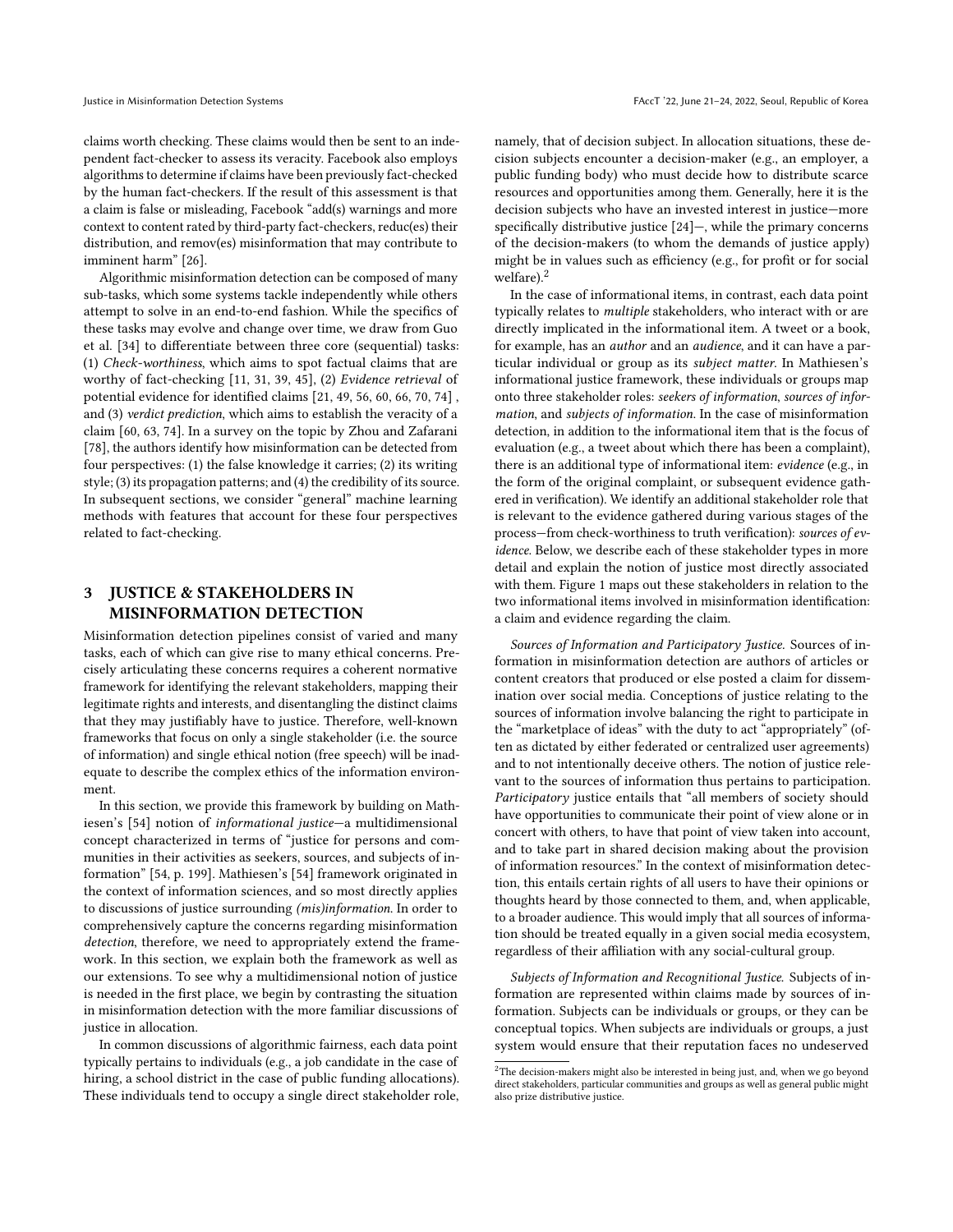claims worth checking. These claims would then be sent to an independent fact-checker to assess its veracity. Facebook also employs algorithms to determine if claims have been previously fact-checked by the human fact-checkers. If the result of this assessment is that a claim is false or misleading, Facebook "add(s) warnings and more context to content rated by third-party fact-checkers, reduc(es) their distribution, and remov(es) misinformation that may contribute to imminent harm" [\[26\]](#page-10-21).

Algorithmic misinformation detection can be composed of many sub-tasks, which some systems tackle independently while others attempt to solve in an end-to-end fashion. While the specifics of these tasks may evolve and change over time, we draw from Guo et al. [\[34\]](#page-10-22) to differentiate between three core (sequential) tasks: (1) Check-worthiness, which aims to spot factual claims that are worthy of fact-checking [\[11,](#page-10-23) [31,](#page-10-24) [39,](#page-10-25) [45\]](#page-10-26), (2) Evidence retrieval of potential evidence for identified claims [\[21,](#page-10-27) [49,](#page-10-28) [56,](#page-11-16) [60,](#page-11-17) [66,](#page-11-18) [70,](#page-11-19) [74\]](#page-11-20) , and (3) verdict prediction, which aims to establish the veracity of a claim [\[60,](#page-11-17) [63,](#page-11-21) [74\]](#page-11-20). In a survey on the topic by Zhou and Zafarani [\[78\]](#page-11-22), the authors identify how misinformation can be detected from four perspectives: (1) the false knowledge it carries; (2) its writing style; (3) its propagation patterns; and (4) the credibility of its source. In subsequent sections, we consider "general" machine learning methods with features that account for these four perspectives related to fact-checking.

## <span id="page-2-0"></span>3 JUSTICE & STAKEHOLDERS IN MISINFORMATION DETECTION

Misinformation detection pipelines consist of varied and many tasks, each of which can give rise to many ethical concerns. Precisely articulating these concerns requires a coherent normative framework for identifying the relevant stakeholders, mapping their legitimate rights and interests, and disentangling the distinct claims that they may justifiably have to justice. Therefore, well-known frameworks that focus on only a single stakeholder (i.e. the source of information) and single ethical notion (free speech) will be inadequate to describe the complex ethics of the information environment.

In this section, we provide this framework by building on Mathiesen's [\[54\]](#page-11-1) notion of informational justice—a multidimensional concept characterized in terms of "justice for persons and communities in their activities as seekers, sources, and subjects of information" [\[54,](#page-11-1) p. 199]. Mathiesen's [\[54\]](#page-11-1) framework originated in the context of information sciences, and so most directly applies to discussions of justice surrounding (mis)information. In order to comprehensively capture the concerns regarding misinformation detection, therefore, we need to appropriately extend the framework. In this section, we explain both the framework as well as our extensions. To see why a multidimensional notion of justice is needed in the first place, we begin by contrasting the situation in misinformation detection with the more familiar discussions of justice in allocation.

In common discussions of algorithmic fairness, each data point typically pertains to individuals (e.g., a job candidate in the case of hiring, a school district in the case of public funding allocations). These individuals tend to occupy a single direct stakeholder role, namely, that of decision subject. In allocation situations, these decision subjects encounter a decision-maker (e.g., an employer, a public funding body) who must decide how to distribute scarce resources and opportunities among them. Generally, here it is the decision subjects who have an invested interest in justice—more specifically distributive justice [\[24\]](#page-10-29)—, while the primary concerns of the decision-makers (to whom the demands of justice apply) might be in values such as efficiency (e.g., for profit or for social welfare).<sup>[2](#page-2-1)</sup>

In the case of informational items, in contrast, each data point typically relates to multiple stakeholders, who interact with or are directly implicated in the informational item. A tweet or a book, for example, has an author and an audience, and it can have a particular individual or group as its subject matter. In Mathiesen's informational justice framework, these individuals or groups map onto three stakeholder roles: seekers of information, sources of information, and subjects of information. In the case of misinformation detection, in addition to the informational item that is the focus of evaluation (e.g., a tweet about which there has been a complaint), there is an additional type of informational item: evidence (e.g., in the form of the original complaint, or subsequent evidence gathered in verification). We identify an additional stakeholder role that is relevant to the evidence gathered during various stages of the process—from check-worthiness to truth verification): sources of evidence. Below, we describe each of these stakeholder types in more detail and explain the notion of justice most directly associated with them. Figure [1](#page-3-0) maps out these stakeholders in relation to the two informational items involved in misinformation identification: a claim and evidence regarding the claim.

Sources of Information and Participatory Justice. Sources of information in misinformation detection are authors of articles or content creators that produced or else posted a claim for dissemination over social media. Conceptions of justice relating to the sources of information involve balancing the right to participate in the "marketplace of ideas" with the duty to act "appropriately" (often as dictated by either federated or centralized user agreements) and to not intentionally deceive others. The notion of justice relevant to the sources of information thus pertains to participation. Participatory justice entails that "all members of society should have opportunities to communicate their point of view alone or in concert with others, to have that point of view taken into account, and to take part in shared decision making about the provision of information resources." In the context of misinformation detection, this entails certain rights of all users to have their opinions or thoughts heard by those connected to them, and, when applicable, to a broader audience. This would imply that all sources of information should be treated equally in a given social media ecosystem, regardless of their affiliation with any social-cultural group.

Subjects of Information and Recognitional Justice. Subjects of information are represented within claims made by sources of information. Subjects can be individuals or groups, or they can be conceptual topics. When subjects are individuals or groups, a just system would ensure that their reputation faces no undeserved

<span id="page-2-1"></span> $^2\mathrm{The}$  decision-makers might also be interested in being just, and, when we go beyond direct stakeholders, particular communities and groups as well as general public might also prize distributive justice.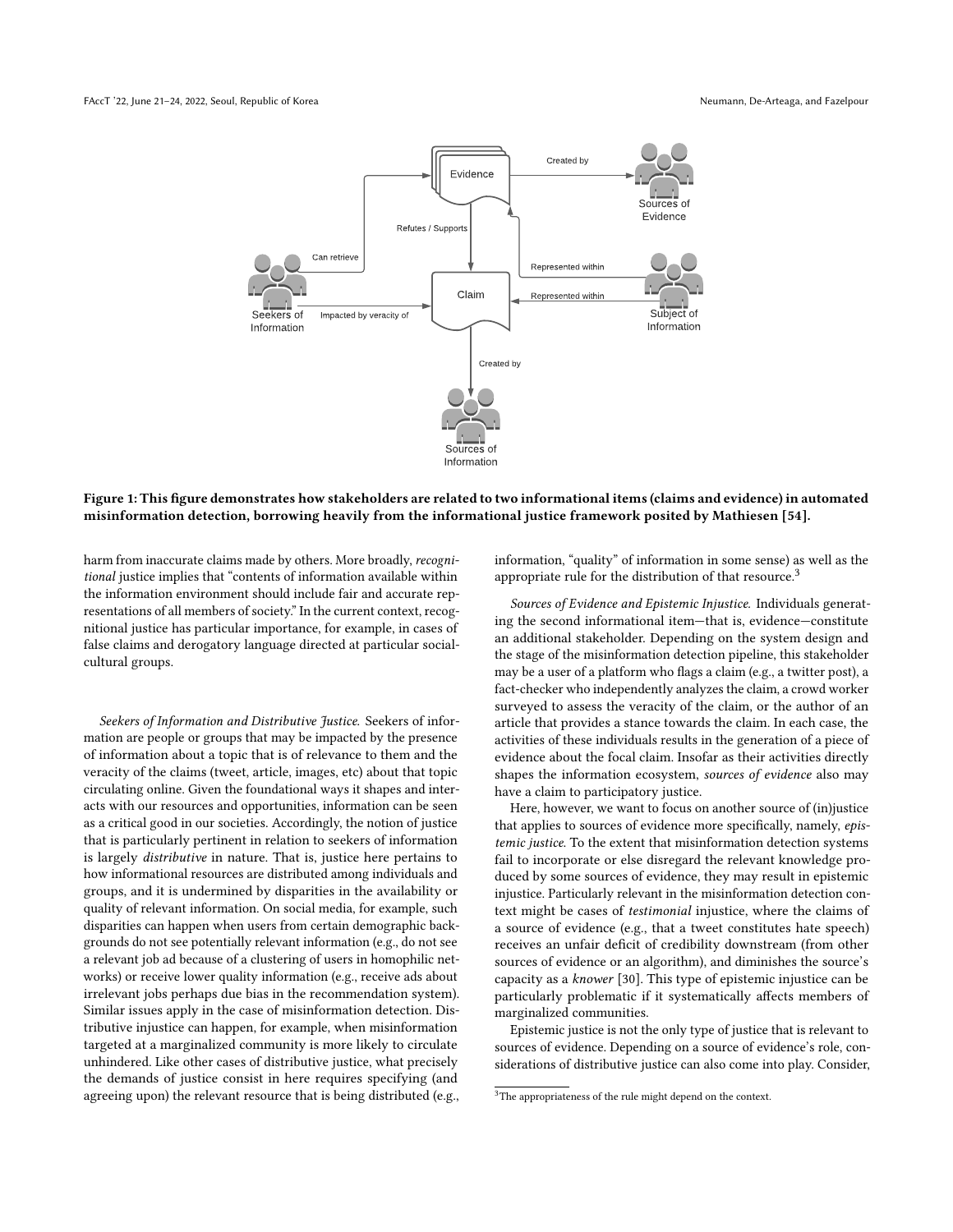<span id="page-3-0"></span>

#### Figure 1: This figure demonstrates how stakeholders are related to two informational items (claims and evidence) in automated misinformation detection, borrowing heavily from the informational justice framework posited by Mathiesen [\[54\]](#page-11-1).

harm from inaccurate claims made by others. More broadly, recognitional justice implies that "contents of information available within the information environment should include fair and accurate representations of all members of society." In the current context, recognitional justice has particular importance, for example, in cases of false claims and derogatory language directed at particular socialcultural groups.

Seekers of Information and Distributive Justice. Seekers of information are people or groups that may be impacted by the presence of information about a topic that is of relevance to them and the veracity of the claims (tweet, article, images, etc) about that topic circulating online. Given the foundational ways it shapes and interacts with our resources and opportunities, information can be seen as a critical good in our societies. Accordingly, the notion of justice that is particularly pertinent in relation to seekers of information is largely distributive in nature. That is, justice here pertains to how informational resources are distributed among individuals and groups, and it is undermined by disparities in the availability or quality of relevant information. On social media, for example, such disparities can happen when users from certain demographic backgrounds do not see potentially relevant information (e.g., do not see a relevant job ad because of a clustering of users in homophilic networks) or receive lower quality information (e.g., receive ads about irrelevant jobs perhaps due bias in the recommendation system). Similar issues apply in the case of misinformation detection. Distributive injustice can happen, for example, when misinformation targeted at a marginalized community is more likely to circulate unhindered. Like other cases of distributive justice, what precisely the demands of justice consist in here requires specifying (and agreeing upon) the relevant resource that is being distributed (e.g., information, "quality" of information in some sense) as well as the appropriate rule for the distribution of that resource.<sup>[3](#page-3-1)</sup>

Sources of Evidence and Epistemic Injustice. Individuals generating the second informational item—that is, evidence—constitute an additional stakeholder. Depending on the system design and the stage of the misinformation detection pipeline, this stakeholder may be a user of a platform who flags a claim (e.g., a twitter post), a fact-checker who independently analyzes the claim, a crowd worker surveyed to assess the veracity of the claim, or the author of an article that provides a stance towards the claim. In each case, the activities of these individuals results in the generation of a piece of evidence about the focal claim. Insofar as their activities directly shapes the information ecosystem, sources of evidence also may have a claim to participatory justice.

Here, however, we want to focus on another source of (in)justice that applies to sources of evidence more specifically, namely, epistemic justice. To the extent that misinformation detection systems fail to incorporate or else disregard the relevant knowledge produced by some sources of evidence, they may result in epistemic injustice. Particularly relevant in the misinformation detection context might be cases of testimonial injustice, where the claims of a source of evidence (e.g., that a tweet constitutes hate speech) receives an unfair deficit of credibility downstream (from other sources of evidence or an algorithm), and diminishes the source's capacity as a knower [\[30\]](#page-10-30). This type of epistemic injustice can be particularly problematic if it systematically affects members of marginalized communities.

Epistemic justice is not the only type of justice that is relevant to sources of evidence. Depending on a source of evidence's role, considerations of distributive justice can also come into play. Consider,

<span id="page-3-1"></span><sup>&</sup>lt;sup>3</sup>The appropriateness of the rule might depend on the context.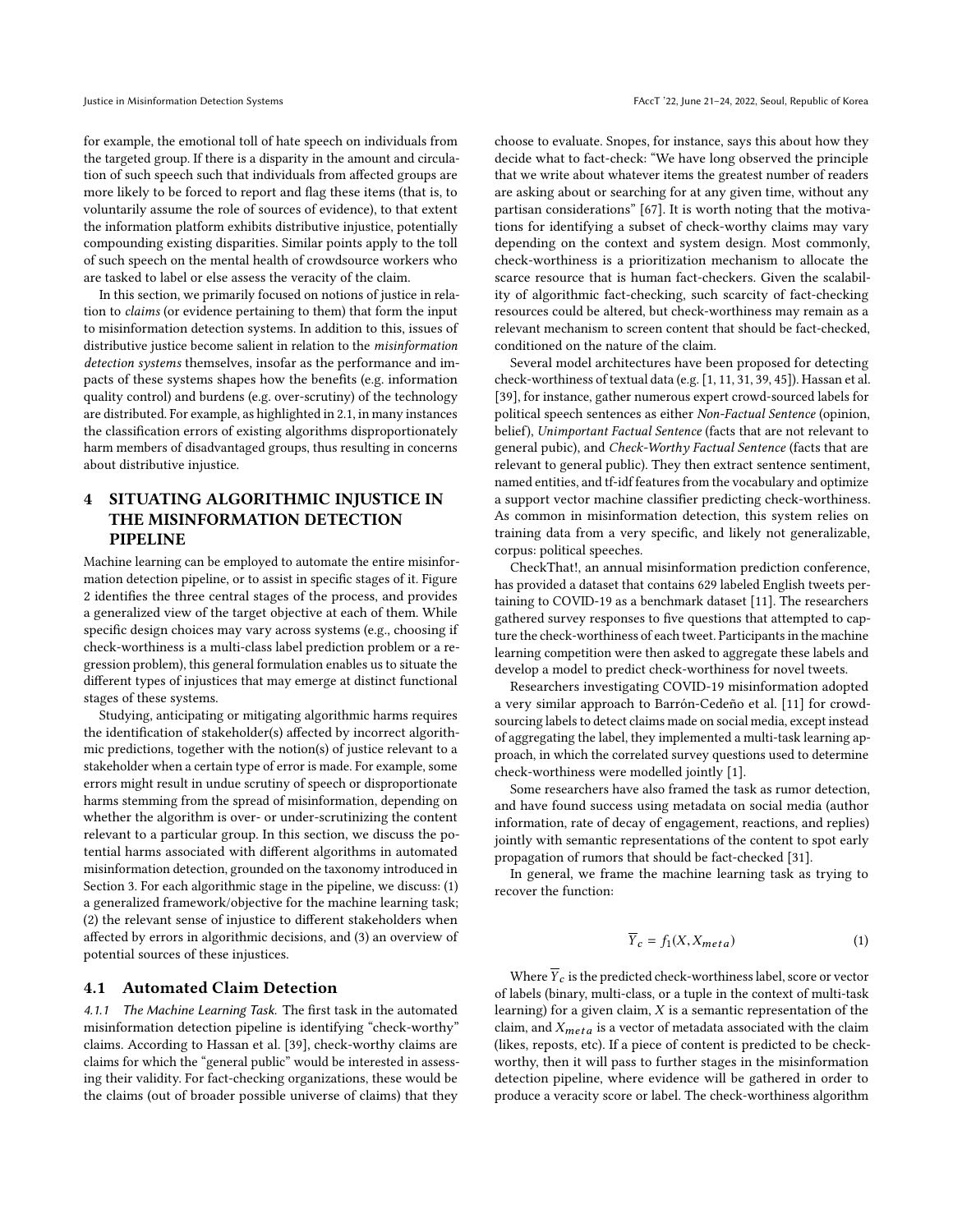for example, the emotional toll of hate speech on individuals from the targeted group. If there is a disparity in the amount and circulation of such speech such that individuals from affected groups are more likely to be forced to report and flag these items (that is, to voluntarily assume the role of sources of evidence), to that extent the information platform exhibits distributive injustice, potentially compounding existing disparities. Similar points apply to the toll of such speech on the mental health of crowdsource workers who are tasked to label or else assess the veracity of the claim.

In this section, we primarily focused on notions of justice in relation to claims (or evidence pertaining to them) that form the input to misinformation detection systems. In addition to this, issues of distributive justice become salient in relation to the misinformation detection systems themselves, insofar as the performance and impacts of these systems shapes how the benefits (e.g. information quality control) and burdens (e.g. over-scrutiny) of the technology are distributed. For example, as highlighted in [2.1,](#page-1-2) in many instances the classification errors of existing algorithms disproportionately harm members of disadvantaged groups, thus resulting in concerns about distributive injustice.

## <span id="page-4-0"></span>4 SITUATING ALGORITHMIC INJUSTICE IN THE MISINFORMATION DETECTION PIPELINE

Machine learning can be employed to automate the entire misinformation detection pipeline, or to assist in specific stages of it. Figure [2](#page-5-0) identifies the three central stages of the process, and provides a generalized view of the target objective at each of them. While specific design choices may vary across systems (e.g., choosing if check-worthiness is a multi-class label prediction problem or a regression problem), this general formulation enables us to situate the different types of injustices that may emerge at distinct functional stages of these systems.

Studying, anticipating or mitigating algorithmic harms requires the identification of stakeholder(s) affected by incorrect algorithmic predictions, together with the notion(s) of justice relevant to a stakeholder when a certain type of error is made. For example, some errors might result in undue scrutiny of speech or disproportionate harms stemming from the spread of misinformation, depending on whether the algorithm is over- or under-scrutinizing the content relevant to a particular group. In this section, we discuss the potential harms associated with different algorithms in automated misinformation detection, grounded on the taxonomy introduced in Section [3.](#page-2-0) For each algorithmic stage in the pipeline, we discuss: (1) a generalized framework/objective for the machine learning task; (2) the relevant sense of injustice to different stakeholders when affected by errors in algorithmic decisions, and (3) an overview of potential sources of these injustices.

#### 4.1 Automated Claim Detection

4.1.1 The Machine Learning Task. The first task in the automated misinformation detection pipeline is identifying "check-worthy" claims. According to Hassan et al. [\[39\]](#page-10-25), check-worthy claims are claims for which the "general public" would be interested in assessing their validity. For fact-checking organizations, these would be the claims (out of broader possible universe of claims) that they

choose to evaluate. Snopes, for instance, says this about how they decide what to fact-check: "We have long observed the principle that we write about whatever items the greatest number of readers are asking about or searching for at any given time, without any partisan considerations" [\[67\]](#page-11-23). It is worth noting that the motivations for identifying a subset of check-worthy claims may vary depending on the context and system design. Most commonly, check-worthiness is a prioritization mechanism to allocate the scarce resource that is human fact-checkers. Given the scalability of algorithmic fact-checking, such scarcity of fact-checking resources could be altered, but check-worthiness may remain as a relevant mechanism to screen content that should be fact-checked, conditioned on the nature of the claim.

Several model architectures have been proposed for detecting check-worthiness of textual data (e.g. [\[1,](#page-9-0) [11,](#page-10-23) [31,](#page-10-24) [39,](#page-10-25) [45\]](#page-10-26)). Hassan et al. [\[39\]](#page-10-25), for instance, gather numerous expert crowd-sourced labels for political speech sentences as either Non-Factual Sentence (opinion, belief), Unimportant Factual Sentence (facts that are not relevant to general pubic), and Check-Worthy Factual Sentence (facts that are relevant to general public). They then extract sentence sentiment, named entities, and tf-idf features from the vocabulary and optimize a support vector machine classifier predicting check-worthiness. As common in misinformation detection, this system relies on training data from a very specific, and likely not generalizable, corpus: political speeches.

CheckThat!, an annual misinformation prediction conference, has provided a dataset that contains 629 labeled English tweets pertaining to COVID-19 as a benchmark dataset [\[11\]](#page-10-23). The researchers gathered survey responses to five questions that attempted to capture the check-worthiness of each tweet. Participants in the machine learning competition were then asked to aggregate these labels and develop a model to predict check-worthiness for novel tweets.

Researchers investigating COVID-19 misinformation adopted a very similar approach to Barrón-Cedeño et al. [\[11\]](#page-10-23) for crowdsourcing labels to detect claims made on social media, except instead of aggregating the label, they implemented a multi-task learning approach, in which the correlated survey questions used to determine check-worthiness were modelled jointly [\[1\]](#page-9-0).

Some researchers have also framed the task as rumor detection, and have found success using metadata on social media (author information, rate of decay of engagement, reactions, and replies) jointly with semantic representations of the content to spot early propagation of rumors that should be fact-checked [\[31\]](#page-10-24).

In general, we frame the machine learning task as trying to recover the function:

$$
\overline{Y}_c = f_1(X, X_{meta})
$$
 (1)

Where  $\overline{Y}_c$  is the predicted check-worthiness label, score or vector of labels (binary, multi-class, or a tuple in the context of multi-task learning) for a given claim,  $X$  is a semantic representation of the claim, and  $X_{meta}$  is a vector of metadata associated with the claim (likes, reposts, etc). If a piece of content is predicted to be checkworthy, then it will pass to further stages in the misinformation detection pipeline, where evidence will be gathered in order to produce a veracity score or label. The check-worthiness algorithm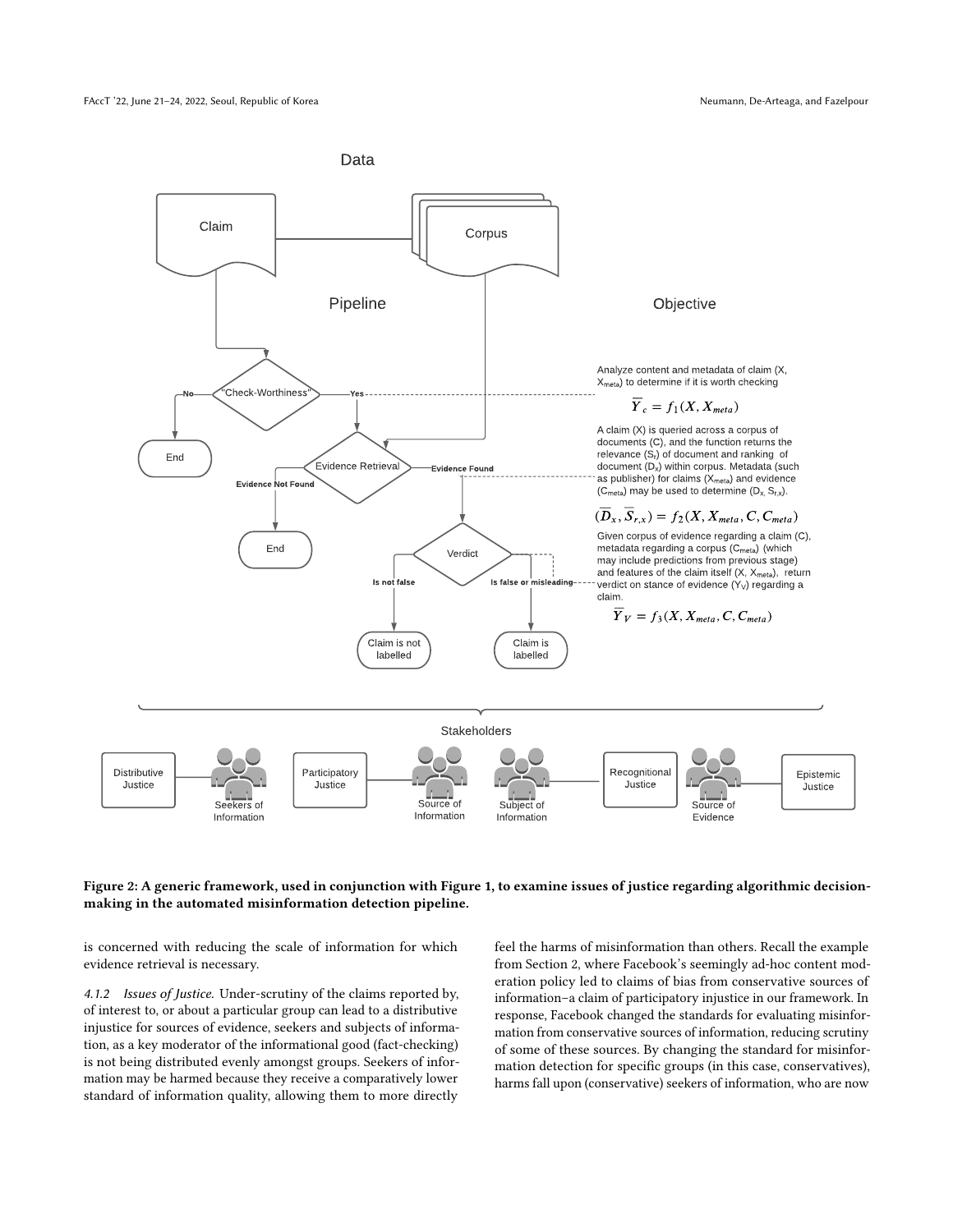<span id="page-5-0"></span>

#### Figure 2: A generic framework, used in conjunction with Figure [1,](#page-3-0) to examine issues of justice regarding algorithmic decisionmaking in the automated misinformation detection pipeline.

is concerned with reducing the scale of information for which evidence retrieval is necessary.

4.1.2 Issues of Justice. Under-scrutiny of the claims reported by, of interest to, or about a particular group can lead to a distributive injustice for sources of evidence, seekers and subjects of information, as a key moderator of the informational good (fact-checking) is not being distributed evenly amongst groups. Seekers of information may be harmed because they receive a comparatively lower standard of information quality, allowing them to more directly

feel the harms of misinformation than others. Recall the example from Section [2,](#page-1-0) where Facebook's seemingly ad-hoc content moderation policy led to claims of bias from conservative sources of information–a claim of participatory injustice in our framework. In response, Facebook changed the standards for evaluating misinformation from conservative sources of information, reducing scrutiny of some of these sources. By changing the standard for misinformation detection for specific groups (in this case, conservatives), harms fall upon (conservative) seekers of information, who are now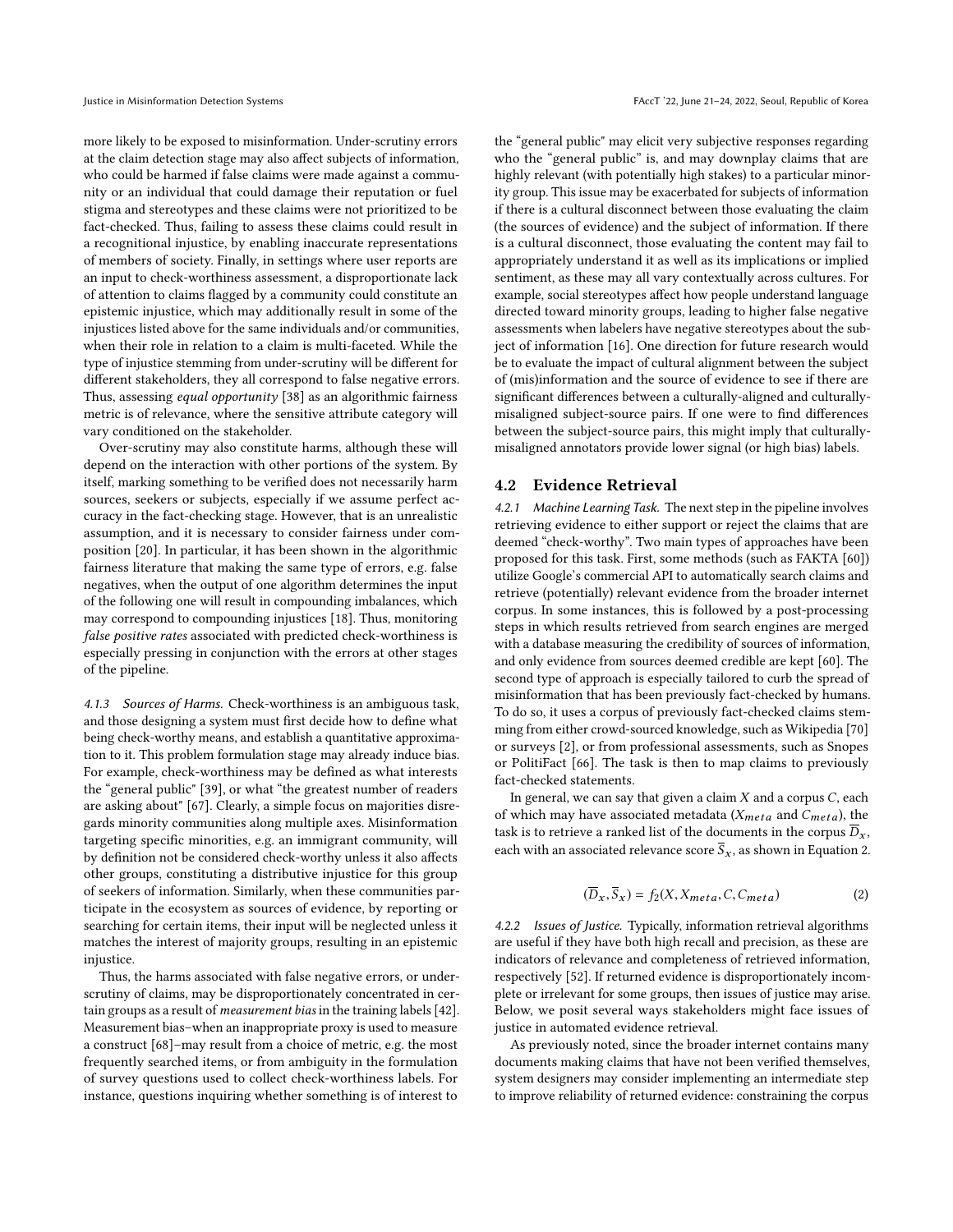more likely to be exposed to misinformation. Under-scrutiny errors at the claim detection stage may also affect subjects of information, who could be harmed if false claims were made against a community or an individual that could damage their reputation or fuel stigma and stereotypes and these claims were not prioritized to be fact-checked. Thus, failing to assess these claims could result in a recognitional injustice, by enabling inaccurate representations of members of society. Finally, in settings where user reports are an input to check-worthiness assessment, a disproportionate lack of attention to claims flagged by a community could constitute an epistemic injustice, which may additionally result in some of the injustices listed above for the same individuals and/or communities, when their role in relation to a claim is multi-faceted. While the type of injustice stemming from under-scrutiny will be different for different stakeholders, they all correspond to false negative errors. Thus, assessing equal opportunity [\[38\]](#page-10-31) as an algorithmic fairness metric is of relevance, where the sensitive attribute category will vary conditioned on the stakeholder.

Over-scrutiny may also constitute harms, although these will depend on the interaction with other portions of the system. By itself, marking something to be verified does not necessarily harm sources, seekers or subjects, especially if we assume perfect accuracy in the fact-checking stage. However, that is an unrealistic assumption, and it is necessary to consider fairness under composition [\[20\]](#page-10-32). In particular, it has been shown in the algorithmic fairness literature that making the same type of errors, e.g. false negatives, when the output of one algorithm determines the input of the following one will result in compounding imbalances, which may correspond to compounding injustices [\[18\]](#page-10-7). Thus, monitoring false positive rates associated with predicted check-worthiness is especially pressing in conjunction with the errors at other stages of the pipeline.

4.1.3 Sources of Harms. Check-worthiness is an ambiguous task, and those designing a system must first decide how to define what being check-worthy means, and establish a quantitative approximation to it. This problem formulation stage may already induce bias. For example, check-worthiness may be defined as what interests the "general public" [\[39\]](#page-10-25), or what "the greatest number of readers are asking about" [\[67\]](#page-11-23). Clearly, a simple focus on majorities disregards minority communities along multiple axes. Misinformation targeting specific minorities, e.g. an immigrant community, will by definition not be considered check-worthy unless it also affects other groups, constituting a distributive injustice for this group of seekers of information. Similarly, when these communities participate in the ecosystem as sources of evidence, by reporting or searching for certain items, their input will be neglected unless it matches the interest of majority groups, resulting in an epistemic injustice.

Thus, the harms associated with false negative errors, or underscrutiny of claims, may be disproportionately concentrated in certain groups as a result of measurement bias in the training labels [\[42\]](#page-10-33). Measurement bias–when an inappropriate proxy is used to measure a construct [\[68\]](#page-11-24)–may result from a choice of metric, e.g. the most frequently searched items, or from ambiguity in the formulation of survey questions used to collect check-worthiness labels. For instance, questions inquiring whether something is of interest to

the "general public" may elicit very subjective responses regarding who the "general public" is, and may downplay claims that are highly relevant (with potentially high stakes) to a particular minority group. This issue may be exacerbated for subjects of information if there is a cultural disconnect between those evaluating the claim (the sources of evidence) and the subject of information. If there is a cultural disconnect, those evaluating the content may fail to appropriately understand it as well as its implications or implied sentiment, as these may all vary contextually across cultures. For example, social stereotypes affect how people understand language directed toward minority groups, leading to higher false negative assessments when labelers have negative stereotypes about the subject of information [\[16\]](#page-10-34). One direction for future research would be to evaluate the impact of cultural alignment between the subject of (mis)information and the source of evidence to see if there are significant differences between a culturally-aligned and culturallymisaligned subject-source pairs. If one were to find differences between the subject-source pairs, this might imply that culturallymisaligned annotators provide lower signal (or high bias) labels.

## 4.2 Evidence Retrieval

4.2.1 Machine Learning Task. The next step in the pipeline involves retrieving evidence to either support or reject the claims that are deemed "check-worthy". Two main types of approaches have been proposed for this task. First, some methods (such as FAKTA [\[60\]](#page-11-17)) utilize Google's commercial API to automatically search claims and retrieve (potentially) relevant evidence from the broader internet corpus. In some instances, this is followed by a post-processing steps in which results retrieved from search engines are merged with a database measuring the credibility of sources of information, and only evidence from sources deemed credible are kept [\[60\]](#page-11-17). The second type of approach is especially tailored to curb the spread of misinformation that has been previously fact-checked by humans. To do so, it uses a corpus of previously fact-checked claims stemming from either crowd-sourced knowledge, such as Wikipedia [\[70\]](#page-11-19) or surveys [\[2\]](#page-10-35), or from professional assessments, such as Snopes or PolitiFact [\[66\]](#page-11-18). The task is then to map claims to previously fact-checked statements.

In general, we can say that given a claim  $X$  and a corpus  $C$ , each of which may have associated metadata ( $X_{meta}$  and  $C_{meta}$ ), the task is to retrieve a ranked list of the documents in the corpus  $\overline{D}_x$ , each with an associated relevance score  $\overline{S}_x$ , as shown in Equation [2.](#page-6-0)

<span id="page-6-0"></span>
$$
(\overline{D}_x, \overline{S}_x) = f_2(X, X_{meta}, C, C_{meta})
$$
\n(2)

4.2.2 Issues of Justice. Typically, information retrieval algorithms are useful if they have both high recall and precision, as these are indicators of relevance and completeness of retrieved information, respectively [\[52\]](#page-10-36). If returned evidence is disproportionately incomplete or irrelevant for some groups, then issues of justice may arise. Below, we posit several ways stakeholders might face issues of justice in automated evidence retrieval.

As previously noted, since the broader internet contains many documents making claims that have not been verified themselves, system designers may consider implementing an intermediate step to improve reliability of returned evidence: constraining the corpus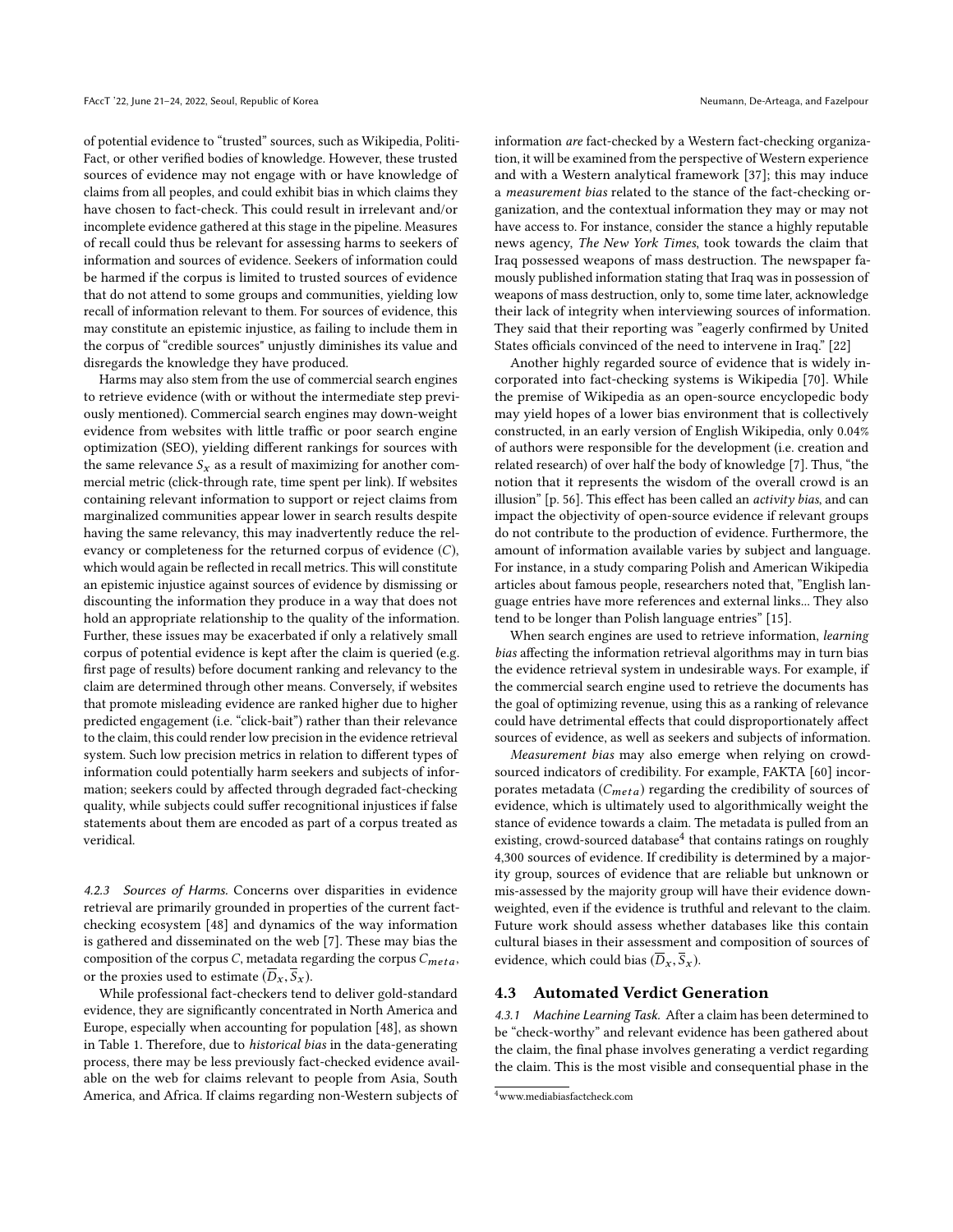of potential evidence to "trusted" sources, such as Wikipedia, Politi-Fact, or other verified bodies of knowledge. However, these trusted sources of evidence may not engage with or have knowledge of claims from all peoples, and could exhibit bias in which claims they have chosen to fact-check. This could result in irrelevant and/or incomplete evidence gathered at this stage in the pipeline. Measures of recall could thus be relevant for assessing harms to seekers of information and sources of evidence. Seekers of information could be harmed if the corpus is limited to trusted sources of evidence that do not attend to some groups and communities, yielding low recall of information relevant to them. For sources of evidence, this may constitute an epistemic injustice, as failing to include them in the corpus of "credible sources" unjustly diminishes its value and disregards the knowledge they have produced.

Harms may also stem from the use of commercial search engines to retrieve evidence (with or without the intermediate step previously mentioned). Commercial search engines may down-weight evidence from websites with little traffic or poor search engine optimization (SEO), yielding different rankings for sources with the same relevance  $S_x$  as a result of maximizing for another commercial metric (click-through rate, time spent per link). If websites containing relevant information to support or reject claims from marginalized communities appear lower in search results despite having the same relevancy, this may inadvertently reduce the relevancy or completeness for the returned corpus of evidence (C), which would again be reflected in recall metrics. This will constitute an epistemic injustice against sources of evidence by dismissing or discounting the information they produce in a way that does not hold an appropriate relationship to the quality of the information. Further, these issues may be exacerbated if only a relatively small corpus of potential evidence is kept after the claim is queried (e.g. first page of results) before document ranking and relevancy to the claim are determined through other means. Conversely, if websites that promote misleading evidence are ranked higher due to higher predicted engagement (i.e. "click-bait") rather than their relevance to the claim, this could render low precision in the evidence retrieval system. Such low precision metrics in relation to different types of information could potentially harm seekers and subjects of information; seekers could by affected through degraded fact-checking quality, while subjects could suffer recognitional injustices if false statements about them are encoded as part of a corpus treated as veridical.

4.2.3 Sources of Harms. Concerns over disparities in evidence retrieval are primarily grounded in properties of the current factchecking ecosystem [\[48\]](#page-10-37) and dynamics of the way information is gathered and disseminated on the web [\[7\]](#page-10-38). These may bias the composition of the corpus  $C$ , metadata regarding the corpus  $C_{meta}$ , or the proxies used to estimate  $(\overline{D}_x, \overline{S}_x)$ .

While professional fact-checkers tend to deliver gold-standard evidence, they are significantly concentrated in North America and Europe, especially when accounting for population [\[48\]](#page-10-37), as shown in Table [1.](#page-8-0) Therefore, due to historical bias in the data-generating process, there may be less previously fact-checked evidence available on the web for claims relevant to people from Asia, South America, and Africa. If claims regarding non-Western subjects of

information are fact-checked by a Western fact-checking organization, it will be examined from the perspective of Western experience and with a Western analytical framework [\[37\]](#page-10-39); this may induce a measurement bias related to the stance of the fact-checking organization, and the contextual information they may or may not have access to. For instance, consider the stance a highly reputable news agency, The New York Times, took towards the claim that Iraq possessed weapons of mass destruction. The newspaper famously published information stating that Iraq was in possession of weapons of mass destruction, only to, some time later, acknowledge their lack of integrity when interviewing sources of information. They said that their reporting was "eagerly confirmed by United States officials convinced of the need to intervene in Iraq." [\[22\]](#page-10-40)

Another highly regarded source of evidence that is widely incorporated into fact-checking systems is Wikipedia [\[70\]](#page-11-19). While the premise of Wikipedia as an open-source encyclopedic body may yield hopes of a lower bias environment that is collectively constructed, in an early version of English Wikipedia, only 0.04% of authors were responsible for the development (i.e. creation and related research) of over half the body of knowledge [\[7\]](#page-10-38). Thus, "the notion that it represents the wisdom of the overall crowd is an illusion" [p. 56]. This effect has been called an activity bias, and can impact the objectivity of open-source evidence if relevant groups do not contribute to the production of evidence. Furthermore, the amount of information available varies by subject and language. For instance, in a study comparing Polish and American Wikipedia articles about famous people, researchers noted that, "English language entries have more references and external links... They also tend to be longer than Polish language entries" [\[15\]](#page-10-41).

When search engines are used to retrieve information, learning bias affecting the information retrieval algorithms may in turn bias the evidence retrieval system in undesirable ways. For example, if the commercial search engine used to retrieve the documents has the goal of optimizing revenue, using this as a ranking of relevance could have detrimental effects that could disproportionately affect sources of evidence, as well as seekers and subjects of information.

Measurement bias may also emerge when relying on crowdsourced indicators of credibility. For example, FAKTA [\[60\]](#page-11-17) incorporates metadata  $(C_{meta})$  regarding the credibility of sources of evidence, which is ultimately used to algorithmically weight the stance of evidence towards a claim. The metadata is pulled from an existing, crowd-sourced database<sup>[4](#page-7-0)</sup> that contains ratings on roughly 4,300 sources of evidence. If credibility is determined by a majority group, sources of evidence that are reliable but unknown or mis-assessed by the majority group will have their evidence downweighted, even if the evidence is truthful and relevant to the claim. Future work should assess whether databases like this contain cultural biases in their assessment and composition of sources of evidence, which could bias  $(\overline{D}_x, \overline{S}_x)$ .

#### 4.3 Automated Verdict Generation

4.3.1 Machine Learning Task. After a claim has been determined to be "check-worthy" and relevant evidence has been gathered about the claim, the final phase involves generating a verdict regarding the claim. This is the most visible and consequential phase in the

<span id="page-7-0"></span><sup>4</sup>www.mediabiasfactcheck.com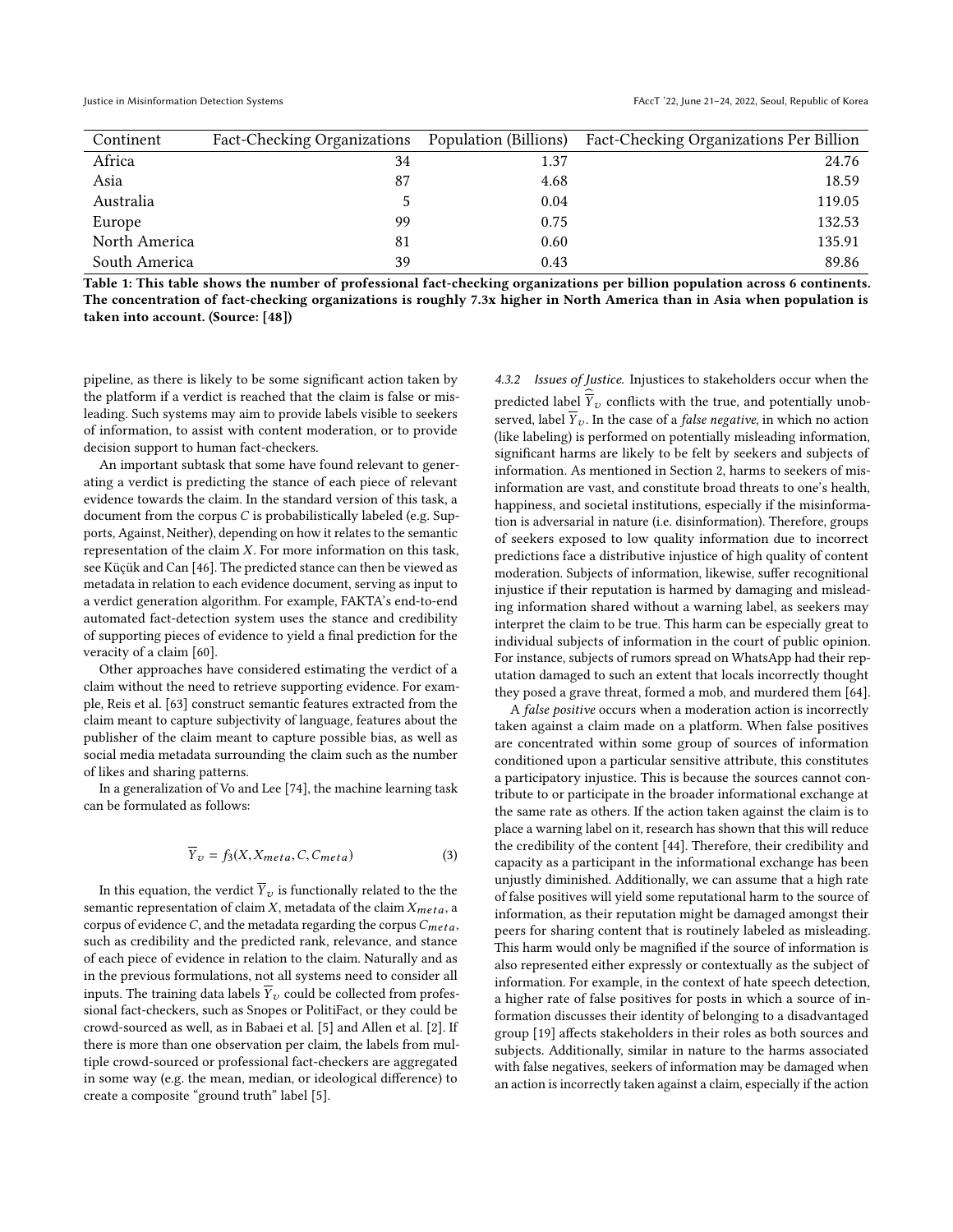<span id="page-8-0"></span>

| Continent     | Fact-Checking Organizations Population (Billions) |      | Fact-Checking Organizations Per Billion |
|---------------|---------------------------------------------------|------|-----------------------------------------|
| Africa        | 34                                                | 1.37 | 24.76                                   |
| Asia          | 87                                                | 4.68 | 18.59                                   |
| Australia     |                                                   | 0.04 | 119.05                                  |
| Europe        | 99                                                | 0.75 | 132.53                                  |
| North America | 81                                                | 0.60 | 135.91                                  |
| South America | 39                                                | 0.43 | 89.86                                   |

Table 1: This table shows the number of professional fact-checking organizations per billion population across 6 continents. The concentration of fact-checking organizations is roughly 7.3x higher in North America than in Asia when population is taken into account. (Source: [\[48\]](#page-10-37))

pipeline, as there is likely to be some significant action taken by the platform if a verdict is reached that the claim is false or misleading. Such systems may aim to provide labels visible to seekers of information, to assist with content moderation, or to provide decision support to human fact-checkers.

An important subtask that some have found relevant to generating a verdict is predicting the stance of each piece of relevant evidence towards the claim. In the standard version of this task, a document from the corpus C is probabilistically labeled (e.g. Supports, Against, Neither), depending on how it relates to the semantic representation of the claim  $X$ . For more information on this task, see Küçük and Can [\[46\]](#page-10-42). The predicted stance can then be viewed as metadata in relation to each evidence document, serving as input to a verdict generation algorithm. For example, FAKTA's end-to-end automated fact-detection system uses the stance and credibility of supporting pieces of evidence to yield a final prediction for the veracity of a claim [\[60\]](#page-11-17).

Other approaches have considered estimating the verdict of a claim without the need to retrieve supporting evidence. For example, Reis et al. [\[63\]](#page-11-21) construct semantic features extracted from the claim meant to capture subjectivity of language, features about the publisher of the claim meant to capture possible bias, as well as social media metadata surrounding the claim such as the number of likes and sharing patterns.

In a generalization of Vo and Lee [\[74\]](#page-11-20), the machine learning task can be formulated as follows:

$$
\overline{Y}_v = f_3(X, X_{meta}, C, C_{meta})
$$
\n(3)

In this equation, the verdict  $\overline{Y}_v$  is functionally related to the the semantic representation of claim  $X$ , metadata of the claim  $X_{meta}$ , a corpus of evidence  $C$ , and the metadata regarding the corpus  $C_{meta}$ , such as credibility and the predicted rank, relevance, and stance of each piece of evidence in relation to the claim. Naturally and as in the previous formulations, not all systems need to consider all inputs. The training data labels  $\overline{Y}_v$  could be collected from professional fact-checkers, such as Snopes or PolitiFact, or they could be crowd-sourced as well, as in Babaei et al. [\[5\]](#page-10-43) and Allen et al. [\[2\]](#page-10-35). If there is more than one observation per claim, the labels from multiple crowd-sourced or professional fact-checkers are aggregated in some way (e.g. the mean, median, or ideological difference) to create a composite "ground truth" label [\[5\]](#page-10-43).

4.3.2 Issues of Justice. Injustices to stakeholders occur when the predicted label  $\overline{Y}_{\upsilon}$  conflicts with the true, and potentially unobserved, label  $\overline{Y}_v$ . In the case of a *false negative*, in which no action (like labeling) is performed on potentially misleading information, significant harms are likely to be felt by seekers and subjects of information. As mentioned in Section [2,](#page-1-0) harms to seekers of misinformation are vast, and constitute broad threats to one's health, happiness, and societal institutions, especially if the misinformation is adversarial in nature (i.e. disinformation). Therefore, groups of seekers exposed to low quality information due to incorrect predictions face a distributive injustice of high quality of content moderation. Subjects of information, likewise, suffer recognitional injustice if their reputation is harmed by damaging and misleading information shared without a warning label, as seekers may interpret the claim to be true. This harm can be especially great to individual subjects of information in the court of public opinion. For instance, subjects of rumors spread on WhatsApp had their reputation damaged to such an extent that locals incorrectly thought they posed a grave threat, formed a mob, and murdered them [\[64\]](#page-11-25).

A false positive occurs when a moderation action is incorrectly taken against a claim made on a platform. When false positives are concentrated within some group of sources of information conditioned upon a particular sensitive attribute, this constitutes a participatory injustice. This is because the sources cannot contribute to or participate in the broader informational exchange at the same rate as others. If the action taken against the claim is to place a warning label on it, research has shown that this will reduce the credibility of the content [\[44\]](#page-10-44). Therefore, their credibility and capacity as a participant in the informational exchange has been unjustly diminished. Additionally, we can assume that a high rate of false positives will yield some reputational harm to the source of information, as their reputation might be damaged amongst their peers for sharing content that is routinely labeled as misleading. This harm would only be magnified if the source of information is also represented either expressly or contextually as the subject of information. For example, in the context of hate speech detection, a higher rate of false positives for posts in which a source of information discusses their identity of belonging to a disadvantaged group [\[19\]](#page-10-11) affects stakeholders in their roles as both sources and subjects. Additionally, similar in nature to the harms associated with false negatives, seekers of information may be damaged when an action is incorrectly taken against a claim, especially if the action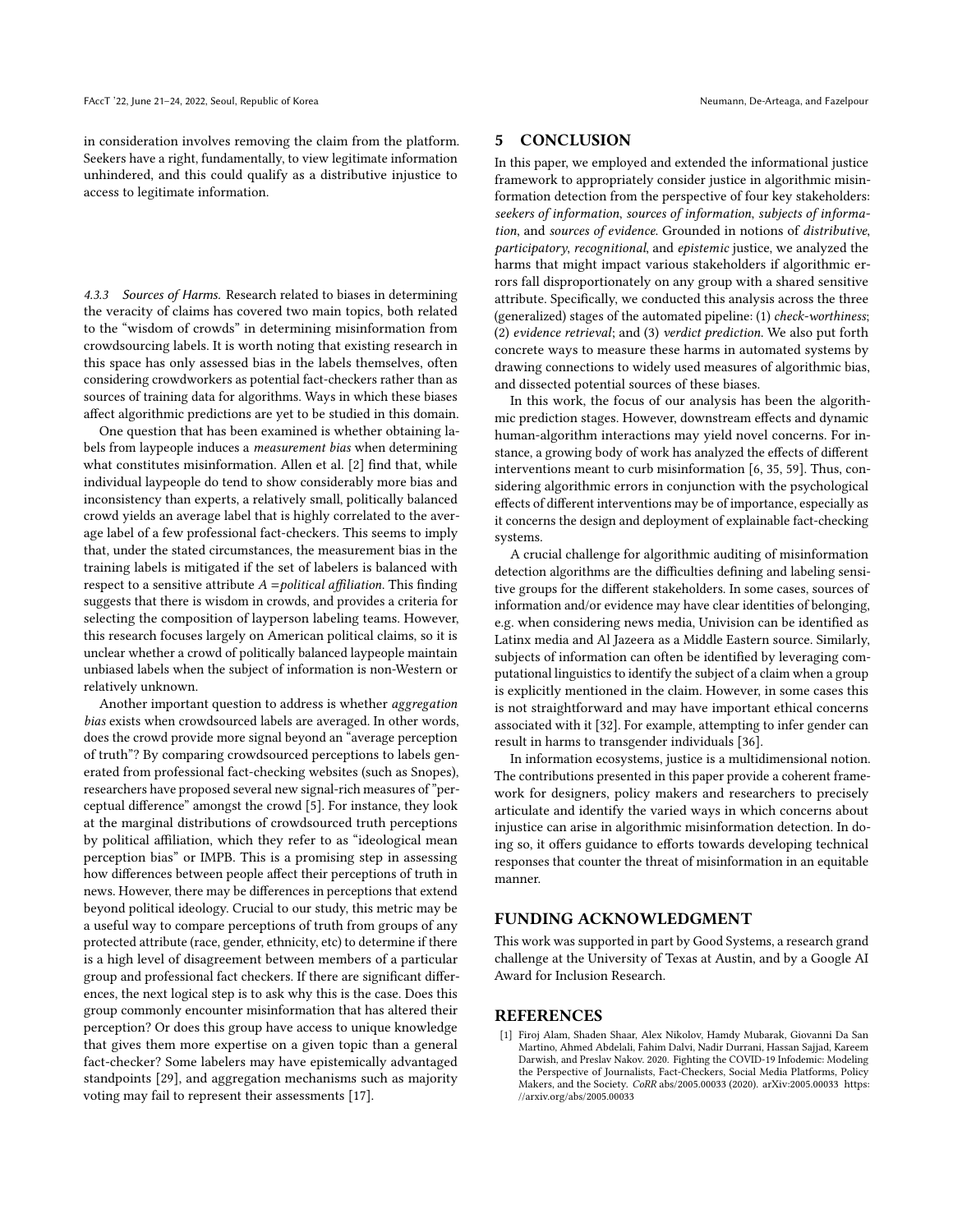in consideration involves removing the claim from the platform. Seekers have a right, fundamentally, to view legitimate information unhindered, and this could qualify as a distributive injustice to access to legitimate information.

4.3.3 Sources of Harms. Research related to biases in determining the veracity of claims has covered two main topics, both related to the "wisdom of crowds" in determining misinformation from crowdsourcing labels. It is worth noting that existing research in this space has only assessed bias in the labels themselves, often considering crowdworkers as potential fact-checkers rather than as sources of training data for algorithms. Ways in which these biases affect algorithmic predictions are yet to be studied in this domain.

One question that has been examined is whether obtaining labels from laypeople induces a measurement bias when determining what constitutes misinformation. Allen et al. [\[2\]](#page-10-35) find that, while individual laypeople do tend to show considerably more bias and inconsistency than experts, a relatively small, politically balanced crowd yields an average label that is highly correlated to the average label of a few professional fact-checkers. This seems to imply that, under the stated circumstances, the measurement bias in the training labels is mitigated if the set of labelers is balanced with respect to a sensitive attribute  $A =$  political affiliation. This finding suggests that there is wisdom in crowds, and provides a criteria for selecting the composition of layperson labeling teams. However, this research focuses largely on American political claims, so it is unclear whether a crowd of politically balanced laypeople maintain unbiased labels when the subject of information is non-Western or relatively unknown.

Another important question to address is whether aggregation bias exists when crowdsourced labels are averaged. In other words, does the crowd provide more signal beyond an "average perception of truth"? By comparing crowdsourced perceptions to labels generated from professional fact-checking websites (such as Snopes), researchers have proposed several new signal-rich measures of "perceptual difference" amongst the crowd [\[5\]](#page-10-43). For instance, they look at the marginal distributions of crowdsourced truth perceptions by political affiliation, which they refer to as "ideological mean perception bias" or IMPB. This is a promising step in assessing how differences between people affect their perceptions of truth in news. However, there may be differences in perceptions that extend beyond political ideology. Crucial to our study, this metric may be a useful way to compare perceptions of truth from groups of any protected attribute (race, gender, ethnicity, etc) to determine if there is a high level of disagreement between members of a particular group and professional fact checkers. If there are significant differences, the next logical step is to ask why this is the case. Does this group commonly encounter misinformation that has altered their perception? Or does this group have access to unique knowledge that gives them more expertise on a given topic than a general fact-checker? Some labelers may have epistemically advantaged standpoints [\[29\]](#page-10-45), and aggregation mechanisms such as majority voting may fail to represent their assessments [\[17\]](#page-10-46).

## 5 CONCLUSION

In this paper, we employed and extended the informational justice framework to appropriately consider justice in algorithmic misinformation detection from the perspective of four key stakeholders: seekers of information, sources of information, subjects of information, and sources of evidence. Grounded in notions of distributive, participatory, recognitional, and epistemic justice, we analyzed the harms that might impact various stakeholders if algorithmic errors fall disproportionately on any group with a shared sensitive attribute. Specifically, we conducted this analysis across the three (generalized) stages of the automated pipeline: (1) check-worthiness; (2) evidence retrieval; and (3) verdict prediction. We also put forth concrete ways to measure these harms in automated systems by drawing connections to widely used measures of algorithmic bias, and dissected potential sources of these biases.

In this work, the focus of our analysis has been the algorithmic prediction stages. However, downstream effects and dynamic human-algorithm interactions may yield novel concerns. For instance, a growing body of work has analyzed the effects of different interventions meant to curb misinformation [\[6,](#page-10-47) [35,](#page-10-48) [59\]](#page-11-26). Thus, considering algorithmic errors in conjunction with the psychological effects of different interventions may be of importance, especially as it concerns the design and deployment of explainable fact-checking systems.

A crucial challenge for algorithmic auditing of misinformation detection algorithms are the difficulties defining and labeling sensitive groups for the different stakeholders. In some cases, sources of information and/or evidence may have clear identities of belonging, e.g. when considering news media, Univision can be identified as Latinx media and Al Jazeera as a Middle Eastern source. Similarly, subjects of information can often be identified by leveraging computational linguistics to identify the subject of a claim when a group is explicitly mentioned in the claim. However, in some cases this is not straightforward and may have important ethical concerns associated with it [\[32\]](#page-10-49). For example, attempting to infer gender can result in harms to transgender individuals [\[36\]](#page-10-50).

In information ecosystems, justice is a multidimensional notion. The contributions presented in this paper provide a coherent framework for designers, policy makers and researchers to precisely articulate and identify the varied ways in which concerns about injustice can arise in algorithmic misinformation detection. In doing so, it offers guidance to efforts towards developing technical responses that counter the threat of misinformation in an equitable manner.

#### FUNDING ACKNOWLEDGMENT

This work was supported in part by Good Systems, a research grand challenge at the University of Texas at Austin, and by a Google AI Award for Inclusion Research.

## REFERENCES

<span id="page-9-0"></span>[1] Firoj Alam, Shaden Shaar, Alex Nikolov, Hamdy Mubarak, Giovanni Da San Martino, Ahmed Abdelali, Fahim Dalvi, Nadir Durrani, Hassan Sajjad, Kareem Darwish, and Preslav Nakov. 2020. Fighting the COVID-19 Infodemic: Modeling the Perspective of Journalists, Fact-Checkers, Social Media Platforms, Policy Makers, and the Society. CoRR abs/2005.00033 (2020). arXiv[:2005.00033 https:](https://arxiv.org/abs/2005.00033) [//arxiv.org/abs/2005.00033](https://arxiv.org/abs/2005.00033)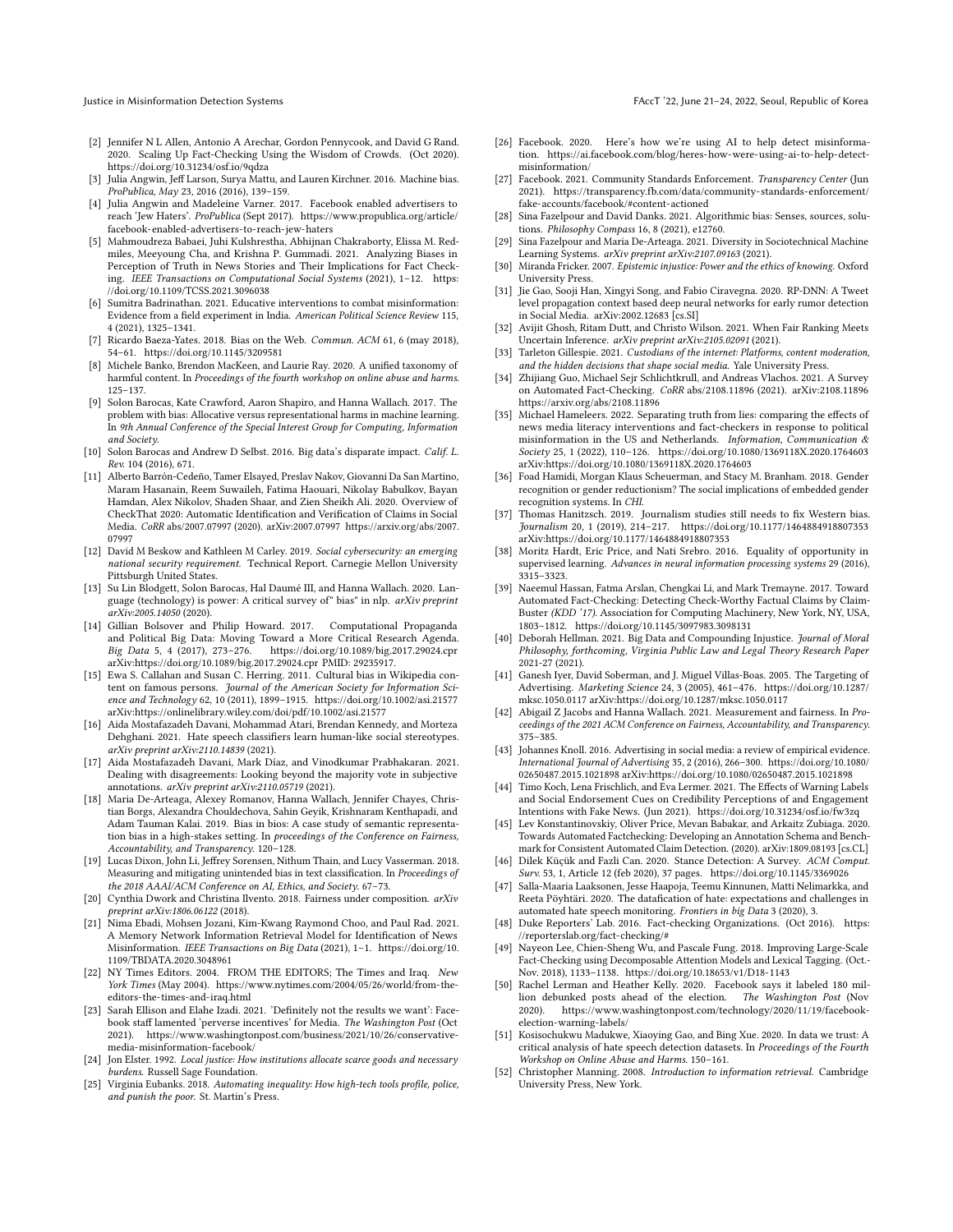- <span id="page-10-35"></span>[2] Jennifer N L Allen, Antonio A Arechar, Gordon Pennycook, and David G Rand. 2020. Scaling Up Fact-Checking Using the Wisdom of Crowds. (Oct 2020). <https://doi.org/10.31234/osf.io/9qdza>
- <span id="page-10-6"></span>[3] Julia Angwin, Jeff Larson, Surya Mattu, and Lauren Kirchner. 2016. Machine bias. ProPublica, May 23, 2016 (2016), 139–159.
- <span id="page-10-20"></span>[4] Julia Angwin and Madeleine Varner. 2017. Facebook enabled advertisers to reach 'Jew Haters'. ProPublica (Sept 2017). [https://www.propublica.org/article/](https://www.propublica.org/article/facebook-enabled-advertisers-to-reach-jew-haters) [facebook-enabled-advertisers-to-reach-jew-haters](https://www.propublica.org/article/facebook-enabled-advertisers-to-reach-jew-haters)
- <span id="page-10-43"></span>[5] Mahmoudreza Babaei, Juhi Kulshrestha, Abhijnan Chakraborty, Elissa M. Redmiles, Meeyoung Cha, and Krishna P. Gummadi. 2021. Analyzing Biases in Perception of Truth in News Stories and Their Implications for Fact Checking. IEEE Transactions on Computational Social Systems (2021), 1–12. [https:](https://doi.org/10.1109/TCSS.2021.3096038) [//doi.org/10.1109/TCSS.2021.3096038](https://doi.org/10.1109/TCSS.2021.3096038)
- <span id="page-10-47"></span>[6] Sumitra Badrinathan. 2021. Educative interventions to combat misinformation: Evidence from a field experiment in India. American Political Science Review 115, 4 (2021), 1325–1341.
- <span id="page-10-38"></span>[7] Ricardo Baeza-Yates. 2018. Bias on the Web. Commun. ACM 61, 6 (may 2018), 54–61.<https://doi.org/10.1145/3209581>
- <span id="page-10-10"></span>[8] Michele Banko, Brendon MacKeen, and Laurie Ray. 2020. A unified taxonomy of harmful content. In Proceedings of the fourth workshop on online abuse and harms. 125–137.
- <span id="page-10-8"></span>[9] Solon Barocas, Kate Crawford, Aaron Shapiro, and Hanna Wallach. 2017. The problem with bias: Allocative versus representational harms in machine learning. In 9th Annual Conference of the Special Interest Group for Computing, Information and Society.
- <span id="page-10-2"></span>[10] Solon Barocas and Andrew D Selbst. 2016. Big data's disparate impact. Calif. L. Rev. 104 (2016), 671.
- <span id="page-10-23"></span>[11] Alberto Barrón-Cedeño, Tamer Elsayed, Preslav Nakov, Giovanni Da San Martino, Maram Hasanain, Reem Suwaileh, Fatima Haouari, Nikolay Babulkov, Bayan Hamdan, Alex Nikolov, Shaden Shaar, and Zien Sheikh Ali. 2020. Overview of CheckThat 2020: Automatic Identification and Verification of Claims in Social Media. CoRR abs/2007.07997 (2020). arXiv[:2007.07997 https://arxiv.org/abs/2007.](https://arxiv.org/abs/2007.07997) [07997](https://arxiv.org/abs/2007.07997)
- <span id="page-10-19"></span>[12] David M Beskow and Kathleen M Carley. 2019. Social cybersecurity: an emerging national security requirement. Technical Report. Carnegie Mellon University Pittsburgh United States.
- <span id="page-10-9"></span>[13] Su Lin Blodgett, Solon Barocas, Hal Daumé III, and Hanna Wallach. 2020. Language (technology) is power: A critical survey of" bias" in nlp. arXiv preprint arXiv:2005.14050 (2020).
- <span id="page-10-18"></span>[14] Gillian Bolsover and Philip Howard. 2017. Computational Propaganda and Political Big Data: Moving Toward a More Critical Research Agenda. Big Data 5, 4 (2017), 273–276.<https://doi.org/10.1089/big.2017.29024.cpr> arXiv[:https://doi.org/10.1089/big.2017.29024.cpr](https://arxiv.org/abs/https://doi.org/10.1089/big.2017.29024.cpr) PMID: 29235917.
- <span id="page-10-41"></span>[15] Ewa S. Callahan and Susan C. Herring. 2011. Cultural bias in Wikipedia content on famous persons. Journal of the American Society for Information Science and Technology 62, 10 (2011), 1899–1915.<https://doi.org/10.1002/asi.21577> arXiv[:https://onlinelibrary.wiley.com/doi/pdf/10.1002/asi.21577](https://arxiv.org/abs/https://onlinelibrary.wiley.com/doi/pdf/10.1002/asi.21577)
- <span id="page-10-34"></span>[16] Aida Mostafazadeh Davani, Mohammad Atari, Brendan Kennedy, and Morteza Dehghani. 2021. Hate speech classifiers learn human-like social stereotypes. arXiv preprint arXiv:2110.14839 (2021).
- <span id="page-10-46"></span>[17] Aida Mostafazadeh Davani, Mark Díaz, and Vinodkumar Prabhakaran. 2021. Dealing with disagreements: Looking beyond the majority vote in subjective annotations. arXiv preprint arXiv:2110.05719 (2021).
- <span id="page-10-7"></span>[18] Maria De-Arteaga, Alexey Romanov, Hanna Wallach, Jennifer Chayes, Christian Borgs, Alexandra Chouldechova, Sahin Geyik, Krishnaram Kenthapadi, and Adam Tauman Kalai. 2019. Bias in bios: A case study of semantic representation bias in a high-stakes setting. In proceedings of the Conference on Fairness, Accountability, and Transparency. 120–128.
- <span id="page-10-11"></span>[19] Lucas Dixon, John Li, Jeffrey Sorensen, Nithum Thain, and Lucy Vasserman. 2018. Measuring and mitigating unintended bias in text classification. In Proceedings of the 2018 AAAI/ACM Conference on AI, Ethics, and Society. 67–73.
- <span id="page-10-32"></span>[20] Cynthia Dwork and Christina Ilvento. 2018. Fairness under composition. arXiv preprint arXiv:1806.06122 (2018).
- <span id="page-10-27"></span>[21] Nima Ebadi, Mohsen Jozani, Kim-Kwang Raymond Choo, and Paul Rad. 2021. A Memory Network Information Retrieval Model for Identification of News Misinformation. IEEE Transactions on Big Data (2021), 1–1. [https://doi.org/10.](https://doi.org/10.1109/TBDATA.2020.3048961) [1109/TBDATA.2020.3048961](https://doi.org/10.1109/TBDATA.2020.3048961)
- <span id="page-10-40"></span>[22] NY Times Editors. 2004. FROM THE EDITORS; The Times and Iraq. New York Times (May 2004). [https://www.nytimes.com/2004/05/26/world/from-the](https://www.nytimes.com/2004/05/26/world/from-the-editors-the-times-and-iraq.html)[editors-the-times-and-iraq.html](https://www.nytimes.com/2004/05/26/world/from-the-editors-the-times-and-iraq.html)
- <span id="page-10-15"></span>[23] Sarah Ellison and Elahe Izadi. 2021. 'Definitely not the results we want': Facebook staff lamented 'perverse incentives' for Media. The Washington Post (Oct 2021). [https://www.washingtonpost.com/business/2021/10/26/conservative](https://www.washingtonpost.com/business/2021/10/26/conservative-media-misinformation-facebook/)[media-misinformation-facebook/](https://www.washingtonpost.com/business/2021/10/26/conservative-media-misinformation-facebook/)
- <span id="page-10-29"></span>[24] Jon Elster. 1992. Local justice: How institutions allocate scarce goods and necessary burdens. Russell Sage Foundation.
- <span id="page-10-4"></span>[25] Virginia Eubanks. 2018. Automating inequality: How high-tech tools profile, police, and punish the poor. St. Martin's Press.
- <span id="page-10-21"></span>[26] Facebook. 2020. Here's how we're using AI to help detect misinformation. [https://ai.facebook.com/blog/heres-how-were-using-ai-to-help-detect](https://ai.facebook.com/blog/heres-how-were-using-ai-to-help-detect-misinformation/)[misinformation/](https://ai.facebook.com/blog/heres-how-were-using-ai-to-help-detect-misinformation/)
- <span id="page-10-1"></span>[27] Facebook. 2021. Community Standards Enforcement. Transparency Center (Jun 2021). [https://transparency.fb.com/data/community-standards-enforcement/](https://transparency.fb.com/data/community-standards-enforcement/fake-accounts/facebook/#content-actioned) [fake-accounts/facebook/#content-actioned](https://transparency.fb.com/data/community-standards-enforcement/fake-accounts/facebook/#content-actioned)
- <span id="page-10-3"></span>[28] Sina Fazelpour and David Danks. 2021. Algorithmic bias: Senses, sources, solutions. Philosophy Compass 16, 8 (2021), e12760.
- <span id="page-10-45"></span>[29] Sina Fazelpour and Maria De-Arteaga. 2021. Diversity in Sociotechnical Machine Learning Systems. arXiv preprint arXiv:2107.09163 (2021).
- <span id="page-10-30"></span>[30] Miranda Fricker. 2007. Epistemic injustice: Power and the ethics of knowing. Oxford University Press.
- <span id="page-10-24"></span>[31] Jie Gao, Sooji Han, Xingyi Song, and Fabio Ciravegna. 2020. RP-DNN: A Tweet level propagation context based deep neural networks for early rumor detection in Social Media. arXiv[:2002.12683](https://arxiv.org/abs/2002.12683) [cs.SI]
- <span id="page-10-49"></span>[32] Avijit Ghosh, Ritam Dutt, and Christo Wilson. 2021. When Fair Ranking Meets Uncertain Inference. arXiv preprint arXiv:2105.02091 (2021).
- <span id="page-10-14"></span>[33] Tarleton Gillespie. 2021. Custodians of the internet: Platforms, content moderation, and the hidden decisions that shape social media. Yale University Press.
- <span id="page-10-22"></span>[34] Zhijiang Guo, Michael Sejr Schlichtkrull, and Andreas Vlachos. 2021. A Survey on Automated Fact-Checking. CoRR abs/2108.11896 (2021). arXiv[:2108.11896](https://arxiv.org/abs/2108.11896) <https://arxiv.org/abs/2108.11896>
- <span id="page-10-48"></span>[35] Michael Hameleers. 2022. Separating truth from lies: comparing the effects of news media literacy interventions and fact-checkers in response to political misinformation in the US and Netherlands. Information, Communication & Society 25, 1 (2022), 110–126.<https://doi.org/10.1080/1369118X.2020.1764603> arXiv[:https://doi.org/10.1080/1369118X.2020.1764603](https://arxiv.org/abs/https://doi.org/10.1080/1369118X.2020.1764603)
- <span id="page-10-50"></span>[36] Foad Hamidi, Morgan Klaus Scheuerman, and Stacy M. Branham. 2018. Gender recognition or gender reductionism? The social implications of embedded gender recognition systems. In CHI.
- <span id="page-10-39"></span>[37] Thomas Hanitzsch. 2019. Journalism studies still needs to fix Western bias. Journalism 20, 1 (2019), 214–217.<https://doi.org/10.1177/1464884918807353> arXiv[:https://doi.org/10.1177/1464884918807353](https://arxiv.org/abs/https://doi.org/10.1177/1464884918807353)
- <span id="page-10-31"></span>[38] Moritz Hardt, Eric Price, and Nati Srebro. 2016. Equality of opportunity in supervised learning. Advances in neural information processing systems 29 (2016), 3315–3323.
- <span id="page-10-25"></span>[39] Naeemul Hassan, Fatma Arslan, Chengkai Li, and Mark Tremayne. 2017. Toward Automated Fact-Checking: Detecting Check-Worthy Factual Claims by Claim-Buster (KDD '17). Association for Computing Machinery, New York, NY, USA, 1803–1812.<https://doi.org/10.1145/3097983.3098131>
- <span id="page-10-5"></span>[40] Deborah Hellman. 2021. Big Data and Compounding Injustice. Journal of Moral Philosophy, forthcoming, Virginia Public Law and Legal Theory Research Paper 2021-27 (2021).
- <span id="page-10-16"></span>[41] Ganesh Iyer, David Soberman, and J. Miguel Villas-Boas. 2005. The Targeting of Advertising. Marketing Science 24, 3 (2005), 461–476. [https://doi.org/10.1287/](https://doi.org/10.1287/mksc.1050.0117) [mksc.1050.0117](https://doi.org/10.1287/mksc.1050.0117) arXiv[:https://doi.org/10.1287/mksc.1050.0117](https://arxiv.org/abs/https://doi.org/10.1287/mksc.1050.0117)
- <span id="page-10-33"></span>[42] Abigail Z Jacobs and Hanna Wallach. 2021. Measurement and fairness. In Proceedings of the 2021 ACM Conference on Fairness, Accountability, and Transparency. 375–385.
- <span id="page-10-17"></span>[43] Johannes Knoll. 2016. Advertising in social media: a review of empirical evidence. International Journal of Advertising 35, 2 (2016), 266–300. [https://doi.org/10.1080/](https://doi.org/10.1080/02650487.2015.1021898) [02650487.2015.1021898](https://doi.org/10.1080/02650487.2015.1021898) arXiv[:https://doi.org/10.1080/02650487.2015.1021898](https://arxiv.org/abs/https://doi.org/10.1080/02650487.2015.1021898)
- <span id="page-10-44"></span>[44] Timo Koch, Lena Frischlich, and Eva Lermer. 2021. The Effects of Warning Labels and Social Endorsement Cues on Credibility Perceptions of and Engagement Intentions with Fake News. (Jun 2021).<https://doi.org/10.31234/osf.io/fw3zq>
- <span id="page-10-26"></span>[45] Lev Konstantinovskiy, Oliver Price, Mevan Babakar, and Arkaitz Zubiaga. 2020. Towards Automated Factchecking: Developing an Annotation Schema and Benchmark for Consistent Automated Claim Detection. (2020). arXiv[:1809.08193](https://arxiv.org/abs/1809.08193) [cs.CL]
- <span id="page-10-42"></span>[46] Dilek Küçük and Fazli Can. 2020. Stance Detection: A Survey. ACM Comput. Surv. 53, 1, Article 12 (feb 2020), 37 pages.<https://doi.org/10.1145/3369026>
- <span id="page-10-13"></span>[47] Salla-Maaria Laaksonen, Jesse Haapoja, Teemu Kinnunen, Matti Nelimarkka, and Reeta Pöyhtäri. 2020. The datafication of hate: expectations and challenges in automated hate speech monitoring. Frontiers in big Data 3 (2020), 3.
- <span id="page-10-37"></span>[48] Duke Reporters' Lab. 2016. Fact-checking Organizations. (Oct 2016). [https:](https://reporterslab.org/fact-checking/#) [//reporterslab.org/fact-checking/#](https://reporterslab.org/fact-checking/#)
- <span id="page-10-28"></span>Nayeon Lee, Chien-Sheng Wu, and Pascale Fung. 2018. Improving Large-Scale Fact-Checking using Decomposable Attention Models and Lexical Tagging. (Oct.- Nov. 2018), 1133–1138.<https://doi.org/10.18653/v1/D18-1143>
- <span id="page-10-0"></span>[50] Rachel Lerman and Heather Kelly. 2020. Facebook says it labeled 180 million debunked posts ahead of the election. The Washington Post (Nov 2020). [https://www.washingtonpost.com/technology/2020/11/19/facebook](https://www.washingtonpost.com/technology/2020/11/19/facebook-election-warning-labels/)[election-warning-labels/](https://www.washingtonpost.com/technology/2020/11/19/facebook-election-warning-labels/)
- <span id="page-10-12"></span>[51] Kosisochukwu Madukwe, Xiaoying Gao, and Bing Xue. 2020. In data we trust: A critical analysis of hate speech detection datasets. In Proceedings of the Fourth Workshop on Online Abuse and Harms. 150–161.
- <span id="page-10-36"></span>[52] Christopher Manning. 2008. Introduction to information retrieval. Cambridge University Press, New York.